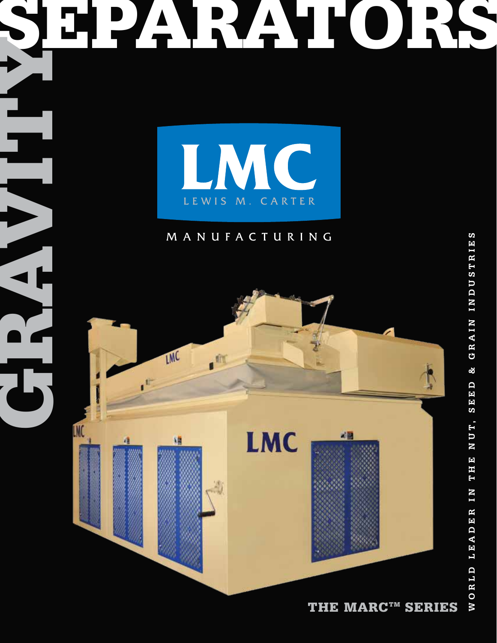

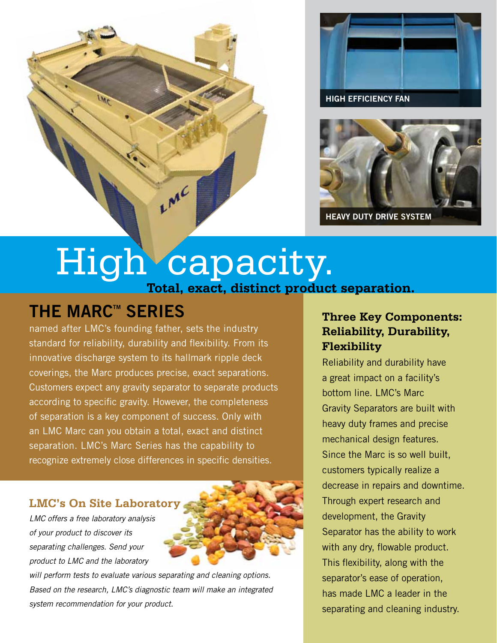

**High Efficiency Fan**



# High capacity. **Total, exact, distinct product separation.**

LMC

## **THE MARC<sup>™</sup> SERIES**

named after LMC's founding father, sets the industry standard for reliability, durability and flexibility. From its innovative discharge system to its hallmark ripple deck coverings, the Marc produces precise, exact separations. Customers expect any gravity separator to separate products according to specific gravity. However, the completeness of separation is a key component of success. Only with an LMC Marc can you obtain a total, exact and distinct separation. LMC's Marc Series has the capability to recognize extremely close differences in specific densities.

#### **LMC's On Site Laboratory**

*LMC offers a free laboratory analysis of your product to discover its separating challenges. Send your product to LMC and the laboratory* 



*will perform tests to evaluate various separating and cleaning options. Based on the research, LMC's diagnostic team will make an integrated system recommendation for your product.*

### **Three Key Components: Reliability, Durability, Flexibility**

Reliability and durability have a great impact on a facility's bottom line. LMC's Marc Gravity Separators are built with heavy duty frames and precise mechanical design features. Since the Marc is so well built, customers typically realize a decrease in repairs and downtime. Through expert research and development, the Gravity Separator has the ability to work with any dry, flowable product. This flexibility, along with the separator's ease of operation, has made LMC a leader in the separating and cleaning industry.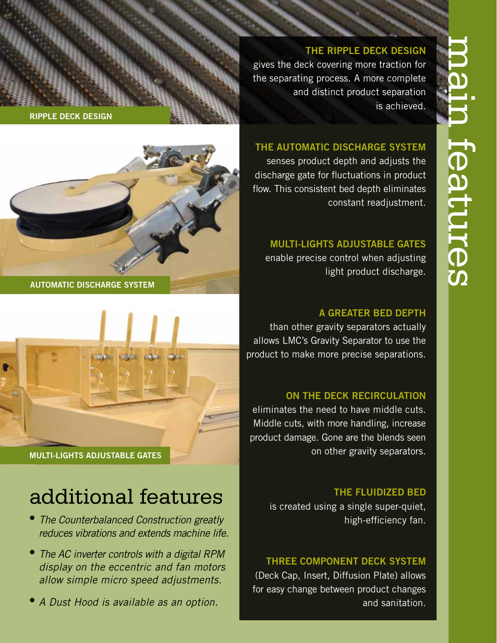#### **The R ipple De ck Design**

gives the deck covering more traction for the separating process. A more complete and distinct product separation is achieved.

#### **The Au t omatic Disc harge Syst e m**

senses product depth and adjusts the discharge gate for fluctuations in product flow. This consistent bed depth eliminates constant readjustment.

**MULTI-LIGHTS ADJUSTABLE GATES** 

enable precise control when adjusting light product discharge.

#### **A GREATER BED DEPTH**

than other gravity separators actually allows LMC's Gravity Separator to use the product to make more precise separations.

#### **On the Deck Recirculation**

eliminates the need to have middle cuts. Middle cuts, with more handling, increase product damage. Gone are the blends seen on other gravity separators.

#### **THE FLUIDIZED BED**

is created using a single super-quiet, high-efficiency fan.

#### **THREE COMPONENT DECK SYSTEM**

(Deck Cap, Insert, Diffusion Plate) allows for easy change between product changes and sanitation.





**AUTOMATIC DISCHARGE SYSTEM** 



# additional features

- *The Counterbalanced Construction greatly reduces vibrations and extends machine life.*
- **•••** *The AC inverter controls with a digital RPM display on the eccentric and fan motors allow simple micro speed adjustments.*
- *A Dust Hood is available as an option.*